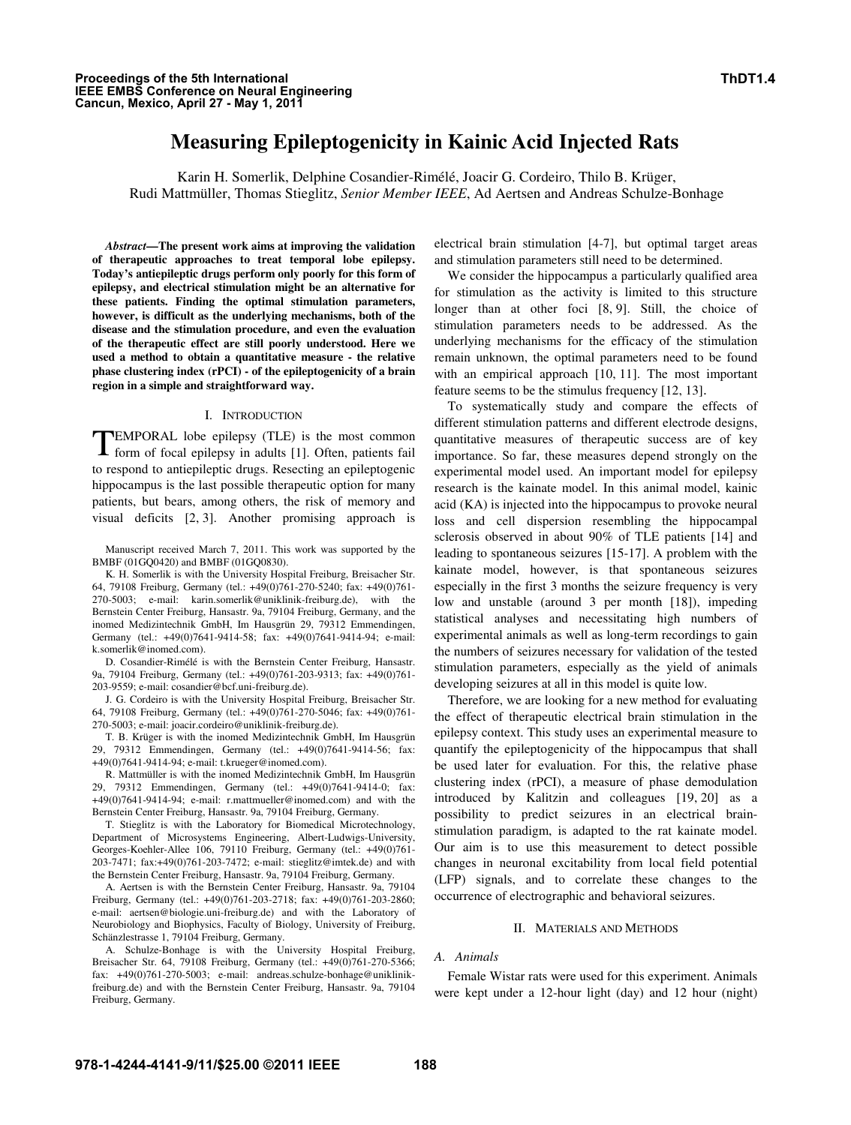# **Measuring Epileptogenicity in Kainic Acid Injected Rats**

Karin H. Somerlik, Delphine Cosandier-Rimélé, Joacir G. Cordeiro, Thilo B. Krüger, Rudi Mattmüller, Thomas Stieglitz, *Senior Member IEEE*, Ad Aertsen and Andreas Schulze-Bonhage

*Abstract***—The present work aims at improving the validation of therapeutic approaches to treat temporal lobe epilepsy. Today's antiepileptic drugs perform only poorly for this form of epilepsy, and electrical stimulation might be an alternative for these patients. Finding the optimal stimulation parameters, however, is difficult as the underlying mechanisms, both of the disease and the stimulation procedure, and even the evaluation of the therapeutic effect are still poorly understood. Here we used a method to obtain a quantitative measure - the relative phase clustering index (rPCI) - of the epileptogenicity of a brain region in a simple and straightforward way.** 

#### I. INTRODUCTION

EMPORAL lobe epilepsy (TLE) is the most common **TEMPORAL** lobe epilepsy (TLE) is the most common form of focal epilepsy in adults [1]. Often, patients fail to respond to antiepileptic drugs. Resecting an epileptogenic hippocampus is the last possible therapeutic option for many patients, but bears, among others, the risk of memory and visual deficits [2, 3]. Another promising approach is

Manuscript received March 7, 2011. This work was supported by the BMBF (01GQ0420) and BMBF (01GQ0830).

K. H. Somerlik is with the University Hospital Freiburg, Breisacher Str. 64, 79108 Freiburg, Germany (tel.: +49(0)761-270-5240; fax: +49(0)761- 270-5003; e-mail: karin.somerlik@uniklinik-freiburg.de), with the Bernstein Center Freiburg, Hansastr. 9a, 79104 Freiburg, Germany, and the inomed Medizintechnik GmbH, Im Hausgrün 29, 79312 Emmendingen, Germany (tel.: +49(0)7641-9414-58; fax: +49(0)7641-9414-94; e-mail: k.somerlik@inomed.com).

D. Cosandier-Rimélé is with the Bernstein Center Freiburg, Hansastr. 9a, 79104 Freiburg, Germany (tel.: +49(0)761-203-9313; fax: +49(0)761- 203-9559; e-mail: cosandier@bcf.uni-freiburg.de).

J. G. Cordeiro is with the University Hospital Freiburg, Breisacher Str. 64, 79108 Freiburg, Germany (tel.: +49(0)761-270-5046; fax: +49(0)761- 270-5003; e-mail: joacir.cordeiro@uniklinik-freiburg.de).

T. B. Krüger is with the inomed Medizintechnik GmbH, Im Hausgrün 29, 79312 Emmendingen, Germany (tel.: +49(0)7641-9414-56; fax: +49(0)7641-9414-94; e-mail: t.krueger@inomed.com).

R. Mattmüller is with the inomed Medizintechnik GmbH, Im Hausgrün 29, 79312 Emmendingen, Germany (tel.: +49(0)7641-9414-0; fax: +49(0)7641-9414-94; e-mail: r.mattmueller@inomed.com) and with the Bernstein Center Freiburg, Hansastr. 9a, 79104 Freiburg, Germany.

T. Stieglitz is with the Laboratory for Biomedical Microtechnology, Department of Microsystems Engineering, Albert-Ludwigs-University, Georges-Koehler-Allee 106, 79110 Freiburg, Germany (tel.: +49(0)761- 203-7471; fax:+49(0)761-203-7472; e-mail: stieglitz@imtek.de) and with the Bernstein Center Freiburg, Hansastr. 9a, 79104 Freiburg, Germany.

A. Aertsen is with the Bernstein Center Freiburg, Hansastr. 9a, 79104 Freiburg, Germany (tel.: +49(0)761-203-2718; fax: +49(0)761-203-2860; e-mail: aertsen@biologie.uni-freiburg.de) and with the Laboratory of Neurobiology and Biophysics, Faculty of Biology, University of Freiburg, Schänzlestrasse 1, 79104 Freiburg, Germany.

A. Schulze-Bonhage is with the University Hospital Freiburg, Breisacher Str. 64, 79108 Freiburg, Germany (tel.: +49(0)761-270-5366; fax: +49(0)761-270-5003; e-mail: andreas.schulze-bonhage@uniklinikfreiburg.de) and with the Bernstein Center Freiburg, Hansastr. 9a, 79104 Freiburg, Germany.

electrical brain stimulation [4-7], but optimal target areas and stimulation parameters still need to be determined.

We consider the hippocampus a particularly qualified area for stimulation as the activity is limited to this structure longer than at other foci [8, 9]. Still, the choice of stimulation parameters needs to be addressed. As the underlying mechanisms for the efficacy of the stimulation remain unknown, the optimal parameters need to be found with an empirical approach [10, 11]. The most important feature seems to be the stimulus frequency [12, 13].

To systematically study and compare the effects of different stimulation patterns and different electrode designs, quantitative measures of therapeutic success are of key importance. So far, these measures depend strongly on the experimental model used. An important model for epilepsy research is the kainate model. In this animal model, kainic acid (KA) is injected into the hippocampus to provoke neural loss and cell dispersion resembling the hippocampal sclerosis observed in about 90% of TLE patients [14] and leading to spontaneous seizures [15-17]. A problem with the kainate model, however, is that spontaneous seizures especially in the first 3 months the seizure frequency is very low and unstable (around 3 per month [18]), impeding statistical analyses and necessitating high numbers of experimental animals as well as long-term recordings to gain the numbers of seizures necessary for validation of the tested stimulation parameters, especially as the yield of animals developing seizures at all in this model is quite low.

Therefore, we are looking for a new method for evaluating the effect of therapeutic electrical brain stimulation in the epilepsy context. This study uses an experimental measure to quantify the epileptogenicity of the hippocampus that shall be used later for evaluation. For this, the relative phase clustering index (rPCI), a measure of phase demodulation introduced by Kalitzin and colleagues [19, 20] as a possibility to predict seizures in an electrical brainstimulation paradigm, is adapted to the rat kainate model. Our aim is to use this measurement to detect possible changes in neuronal excitability from local field potential (LFP) signals, and to correlate these changes to the occurrence of electrographic and behavioral seizures.

#### II. MATERIALS AND METHODS

# *A. Animals*

Female Wistar rats were used for this experiment. Animals were kept under a 12-hour light (day) and 12 hour (night)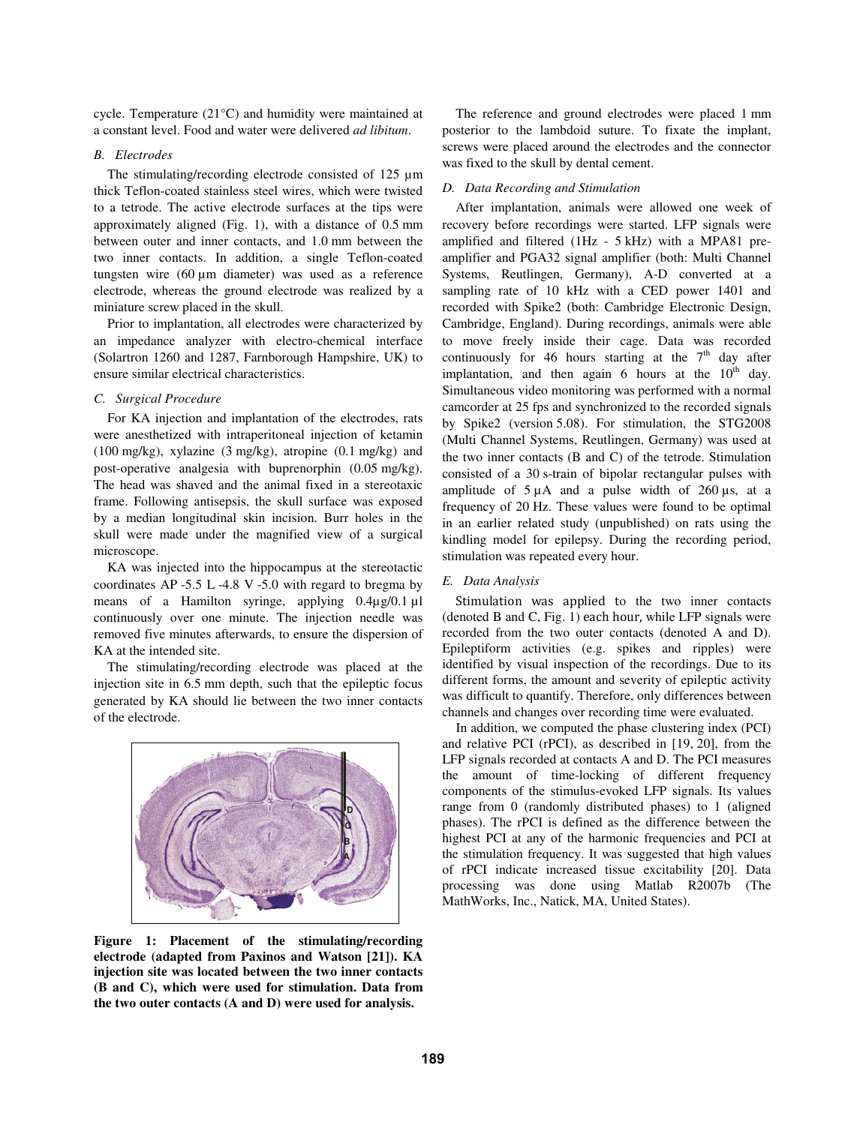cycle. Temperature (21°C) and humidity were maintained at a constant level. Food and water were delivered *ad libitum*.

### *B. Electrodes*

The stimulating/recording electrode consisted of 125  $\mu$ m thick Teflon-coated stainless steel wires, which were twisted to a tetrode. The active electrode surfaces at the tips were approximately aligned (Fig. 1), with a distance of 0.5 mm between outer and inner contacts, and 1.0 mm between the two inner contacts. In addition, a single Teflon-coated tungsten wire (60 µm diameter) was used as a reference electrode, whereas the ground electrode was realized by a miniature screw placed in the skull.

Prior to implantation, all electrodes were characterized by an impedance analyzer with electro-chemical interface (Solartron 1260 and 1287, Farnborough Hampshire, UK) to ensure similar electrical characteristics.

# *C. Surgical Procedure*

For KA injection and implantation of the electrodes, rats were anesthetized with intraperitoneal injection of ketamin (100 mg/kg), xylazine (3 mg/kg), atropine (0.1 mg/kg) and post-operative analgesia with buprenorphin (0.05 mg/kg). The head was shaved and the animal fixed in a stereotaxic frame. Following antisepsis, the skull surface was exposed by a median longitudinal skin incision. Burr holes in the skull were made under the magnified view of a surgical microscope.

KA was injected into the hippocampus at the stereotactic coordinates AP -5.5 L -4.8 V -5.0 with regard to bregma by means of a Hamilton syringe, applying  $0.4\mu$ g/0.1 µl continuously over one minute. The injection needle was removed five minutes afterwards, to ensure the dispersion of KA at the intended site.

The stimulating/recording electrode was placed at the injection site in 6.5 mm depth, such that the epileptic focus generated by KA should lie between the two inner contacts of the electrode.



**Figure 1: Placement of the stimulating/recording electrode (adapted from Paxinos and Watson [21]). KA injection site was located between the two inner contacts (B and C), which were used for stimulation. Data from the two outer contacts (A and D) were used for analysis.** 

The reference and ground electrodes were placed 1 mm posterior to the lambdoid suture. To fixate the implant, screws were placed around the electrodes and the connector was fixed to the skull by dental cement.

## *D. Data Recording and Stimulation*

After implantation, animals were allowed one week of recovery before recordings were started. LFP signals were amplified and filtered (1Hz - 5 kHz) with a MPA81 preamplifier and PGA32 signal amplifier (both: Multi Channel Systems, Reutlingen, Germany), A-D converted at a sampling rate of 10 kHz with a CED power 1401 and recorded with Spike2 (both: Cambridge Electronic Design, Cambridge, England). During recordings, animals were able to move freely inside their cage. Data was recorded continuously for 46 hours starting at the  $7<sup>th</sup>$  day after implantation, and then again  $6$  hours at the  $10<sup>th</sup>$  day. Simultaneous video monitoring was performed with a normal camcorder at 25 fps and synchronized to the recorded signals by Spike2 (version 5.08). For stimulation, the STG2008 (Multi Channel Systems, Reutlingen, Germany) was used at the two inner contacts (B and C) of the tetrode. Stimulation consisted of a 30 s-train of bipolar rectangular pulses with amplitude of  $5 \mu A$  and a pulse width of  $260 \mu s$ , at a frequency of 20 Hz. These values were found to be optimal in an earlier related study (unpublished) on rats using the kindling model for epilepsy. During the recording period, stimulation was repeated every hour.

# *E. Data Analysis*

Stimulation was applied to the two inner contacts (denoted B and C, Fig. 1) each hour, while LFP signals were recorded from the two outer contacts (denoted A and D). Epileptiform activities (e.g. spikes and ripples) were identified by visual inspection of the recordings. Due to its different forms, the amount and severity of epileptic activity was difficult to quantify. Therefore, only differences between channels and changes over recording time were evaluated.

In addition, we computed the phase clustering index (PCI) and relative PCI (rPCI), as described in [19, 20], from the LFP signals recorded at contacts A and D. The PCI measures the amount of time-locking of different frequency components of the stimulus-evoked LFP signals. Its values range from 0 (randomly distributed phases) to 1 (aligned phases). The rPCI is defined as the difference between the highest PCI at any of the harmonic frequencies and PCI at the stimulation frequency. It was suggested that high values of rPCI indicate increased tissue excitability [20]. Data processing was done using Matlab R2007b (The MathWorks, Inc., Natick, MA, United States).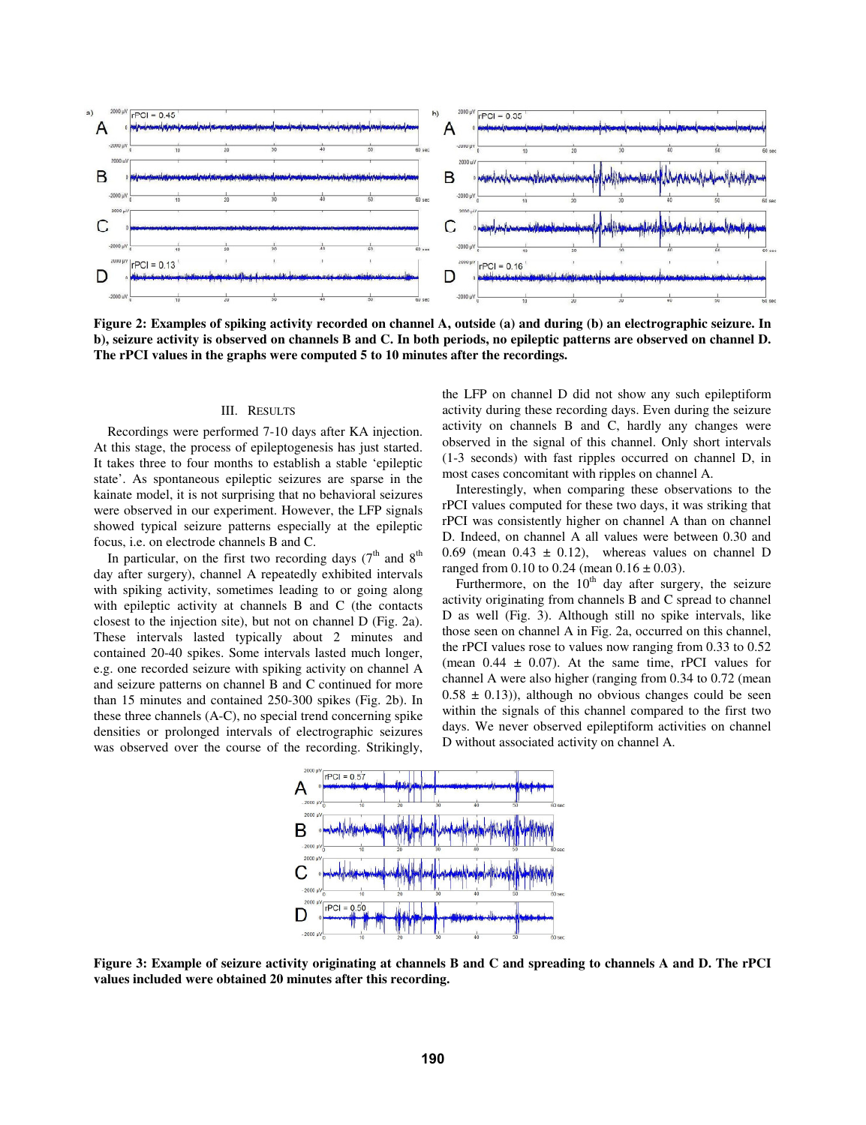

**Figure 2: Examples of spiking activity recorded on channel A, outside (a) and during (b) an electrographic seizure. In b), seizure activity is observed on channels B and C. In both periods, no epileptic patterns are observed on channel D. The rPCI values in the graphs were computed 5 to 10 minutes after the recordings.** 

#### III. RESULTS

Recordings were performed 7-10 days after KA injection. At this stage, the process of epileptogenesis has just started. It takes three to four months to establish a stable 'epileptic state'. As spontaneous epileptic seizures are sparse in the kainate model, it is not surprising that no behavioral seizures were observed in our experiment. However, the LFP signals showed typical seizure patterns especially at the epileptic focus, i.e. on electrode channels B and C.

In particular, on the first two recording days  $(7<sup>th</sup>$  and  $8<sup>th</sup>$ day after surgery), channel A repeatedly exhibited intervals with spiking activity, sometimes leading to or going along with epileptic activity at channels B and C (the contacts closest to the injection site), but not on channel D (Fig. 2a). These intervals lasted typically about 2 minutes and contained 20-40 spikes. Some intervals lasted much longer, e.g. one recorded seizure with spiking activity on channel A and seizure patterns on channel B and C continued for more than 15 minutes and contained 250-300 spikes (Fig. 2b). In these three channels (A-C), no special trend concerning spike densities or prolonged intervals of electrographic seizures was observed over the course of the recording. Strikingly,

the LFP on channel D did not show any such epileptiform activity during these recording days. Even during the seizure activity on channels B and C, hardly any changes were observed in the signal of this channel. Only short intervals (1-3 seconds) with fast ripples occurred on channel D, in most cases concomitant with ripples on channel A.

Interestingly, when comparing these observations to the rPCI values computed for these two days, it was striking that rPCI was consistently higher on channel A than on channel D. Indeed, on channel A all values were between 0.30 and 0.69 (mean  $0.43 \pm 0.12$ ), whereas values on channel D ranged from 0.10 to 0.24 (mean  $0.16 \pm 0.03$ ).

Furthermore, on the  $10<sup>th</sup>$  day after surgery, the seizure activity originating from channels B and C spread to channel D as well (Fig. 3). Although still no spike intervals, like those seen on channel A in Fig. 2a, occurred on this channel, the rPCI values rose to values now ranging from 0.33 to 0.52 (mean  $0.44 \pm 0.07$ ). At the same time, rPCI values for channel A were also higher (ranging from 0.34 to 0.72 (mean  $0.58 \pm 0.13$ ), although no obvious changes could be seen within the signals of this channel compared to the first two days. We never observed epileptiform activities on channel D without associated activity on channel A.



**Figure 3: Example of seizure activity originating at channels B and C and spreading to channels A and D. The rPCI values included were obtained 20 minutes after this recording.**